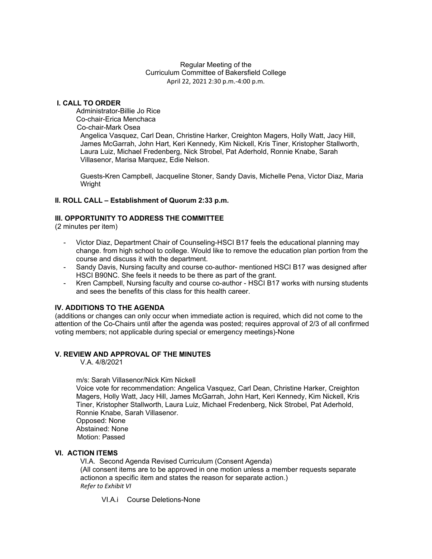#### Regular Meeting of the Curriculum Committee of Bakersfield College April 22, 2021 2:30 p.m.-4:00 p.m.

## **I. CALL TO ORDER**

Administrator-Billie Jo Rice Co-chair-Erica Menchaca Co-chair-Mark Osea Angelica Vasquez, Carl Dean, Christine Harker, Creighton Magers, Holly Watt, Jacy Hill, James McGarrah, John Hart, Keri Kennedy, Kim Nickell, Kris Tiner, Kristopher Stallworth, Laura Luiz, Michael Fredenberg, Nick Strobel, Pat Aderhold, Ronnie Knabe, Sarah Villasenor, Marisa Marquez, Edie Nelson.

Guests-Kren Campbell, Jacqueline Stoner, Sandy Davis, Michelle Pena, Victor Diaz, Maria Wright

#### **II. ROLL CALL – Establishment of Quorum 2:33 p.m.**

#### **III. OPPORTUNITY TO ADDRESS THE COMMITTEE**

(2 minutes per item)

- Victor Diaz, Department Chair of Counseling-HSCI B17 feels the educational planning may change. from high school to college. Would like to remove the education plan portion from the course and discuss it with the department.
- Sandy Davis, Nursing faculty and course co-author- mentioned HSCI B17 was designed after HSCI B90NC. She feels it needs to be there as part of the grant.
- Kren Campbell, Nursing faculty and course co-author HSCI B17 works with nursing students and sees the benefits of this class for this health career.

#### **IV. ADDITIONS TO THE AGENDA**

(additions or changes can only occur when immediate action is required, which did not come to the attention of the Co-Chairs until after the agenda was posted; requires approval of 2/3 of all confirmed voting members; not applicable during special or emergency meetings)-None

## **V. REVIEW AND APPROVAL OF THE MINUTES**

V.A. 4/8/2021

m/s: Sarah Villasenor/Nick Kim Nickell

Voice vote for recommendation: Angelica Vasquez, Carl Dean, Christine Harker, Creighton Magers, Holly Watt, Jacy Hill, James McGarrah, John Hart, Keri Kennedy, Kim Nickell, Kris Tiner, Kristopher Stallworth, Laura Luiz, Michael Fredenberg, Nick Strobel, Pat Aderhold, Ronnie Knabe, Sarah Villasenor.

Opposed: None

Abstained: None Motion: Passed

#### **VI. ACTION ITEMS**

VI.A. Second Agenda Revised Curriculum (Consent Agenda)

(All consent items are to be approved in one motion unless a member requests separate actionon a specific item and states the reason for separate action.) *Refer to Exhibit VI*

VI.A.i Course Deletions-None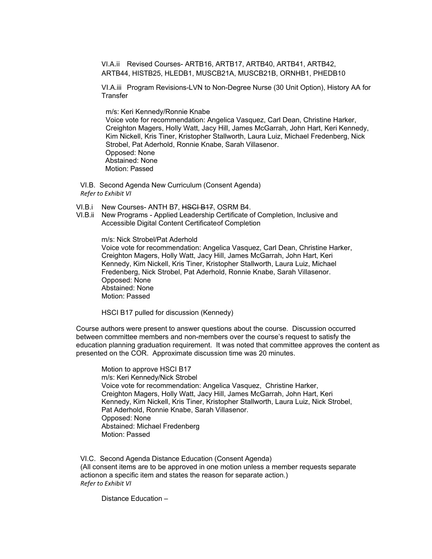VI.A.ii Revised Courses- ARTB16, ARTB17, ARTB40, ARTB41, ARTB42, ARTB44, HISTB25, HLEDB1, MUSCB21A, MUSCB21B, ORNHB1, PHEDB10

VI.A.iii Program Revisions-LVN to Non-Degree Nurse (30 Unit Option), History AA for **Transfer** 

m/s: Keri Kennedy/Ronnie Knabe

Voice vote for recommendation: Angelica Vasquez, Carl Dean, Christine Harker, Creighton Magers, Holly Watt, Jacy Hill, James McGarrah, John Hart, Keri Kennedy, Kim Nickell, Kris Tiner, Kristopher Stallworth, Laura Luiz, Michael Fredenberg, Nick Strobel, Pat Aderhold, Ronnie Knabe, Sarah Villasenor. Opposed: None Abstained: None Motion: Passed

VI.B. Second Agenda New Curriculum (Consent Agenda) *Refer to Exhibit VI*

- VI.B.i New Courses-ANTH B7, HSCI B17, OSRM B4.
- VI.B.ii New Programs Applied Leadership Certificate of Completion, Inclusive and Accessible Digital Content Certificateof Completion

m/s: Nick Strobel/Pat Aderhold Voice vote for recommendation: Angelica Vasquez, Carl Dean, Christine Harker, Creighton Magers, Holly Watt, Jacy Hill, James McGarrah, John Hart, Keri Kennedy, Kim Nickell, Kris Tiner, Kristopher Stallworth, Laura Luiz, Michael Fredenberg, Nick Strobel, Pat Aderhold, Ronnie Knabe, Sarah Villasenor. Opposed: None Abstained: None Motion: Passed

HSCI B17 pulled for discussion (Kennedy)

Course authors were present to answer questions about the course. Discussion occurred between committee members and non-members over the course's request to satisfy the education planning graduation requirement. It was noted that committee approves the content as presented on the COR. Approximate discussion time was 20 minutes.

Motion to approve HSCI B17 m/s: Keri Kennedy/Nick Strobel Voice vote for recommendation: Angelica Vasquez, Christine Harker, Creighton Magers, Holly Watt, Jacy Hill, James McGarrah, John Hart, Keri Kennedy, Kim Nickell, Kris Tiner, Kristopher Stallworth, Laura Luiz, Nick Strobel, Pat Aderhold, Ronnie Knabe, Sarah Villasenor. Opposed: None Abstained: Michael Fredenberg Motion: Passed

VI.C. Second Agenda Distance Education (Consent Agenda) (All consent items are to be approved in one motion unless a member requests separate actionon a specific item and states the reason for separate action.) *Refer to Exhibit VI*

Distance Education –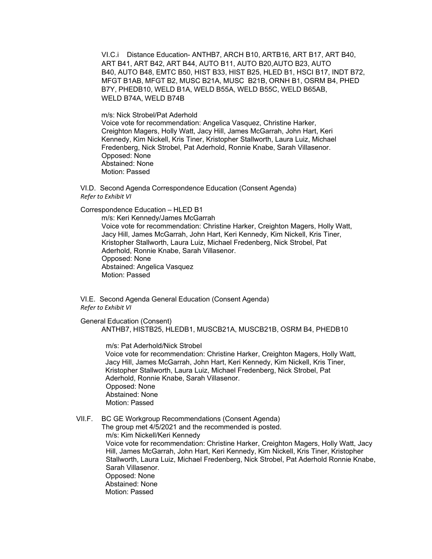VI.C.i Distance Education- ANTHB7, ARCH B10, ARTB16, ART B17, ART B40, ART B41, ART B42, ART B44, AUTO B11, AUTO B20,AUTO B23, AUTO B40, AUTO B48, EMTC B50, HIST B33, HIST B25, HLED B1, HSCI B17, INDT B72, MFGT B1AB, MFGT B2, MUSC B21A, MUSC B21B, ORNH B1, OSRM B4, PHED B7Y, PHEDB10, WELD B1A, WELD B55A, WELD B55C, WELD B65AB, WELD B74A, WELD B74B

m/s: Nick Strobel/Pat Aderhold Voice vote for recommendation: Angelica Vasquez, Christine Harker, Creighton Magers, Holly Watt, Jacy Hill, James McGarrah, John Hart, Keri Kennedy, Kim Nickell, Kris Tiner, Kristopher Stallworth, Laura Luiz, Michael Fredenberg, Nick Strobel, Pat Aderhold, Ronnie Knabe, Sarah Villasenor. Opposed: None

Abstained: None Motion: Passed

VI.D. Second Agenda Correspondence Education (Consent Agenda) *Refer to Exhibit VI*

Correspondence Education – HLED B1

m/s: Keri Kennedy/James McGarrah Voice vote for recommendation: Christine Harker, Creighton Magers, Holly Watt, Jacy Hill, James McGarrah, John Hart, Keri Kennedy, Kim Nickell, Kris Tiner, Kristopher Stallworth, Laura Luiz, Michael Fredenberg, Nick Strobel, Pat Aderhold, Ronnie Knabe, Sarah Villasenor. Opposed: None Abstained: Angelica Vasquez Motion: Passed

VI.E. Second Agenda General Education (Consent Agenda) *Refer to Exhibit VI*

General Education (Consent) ANTHB7, HISTB25, HLEDB1, MUSCB21A, MUSCB21B, OSRM B4, PHEDB10

m/s: Pat Aderhold/Nick Strobel

 Voice vote for recommendation: Christine Harker, Creighton Magers, Holly Watt, Jacy Hill, James McGarrah, John Hart, Keri Kennedy, Kim Nickell, Kris Tiner, Kristopher Stallworth, Laura Luiz, Michael Fredenberg, Nick Strobel, Pat Aderhold, Ronnie Knabe, Sarah Villasenor. Opposed: None Abstained: None Motion: Passed

VII.F. BC GE Workgroup Recommendations (Consent Agenda) The group met 4/5/2021 and the recommended is posted. m/s: Kim Nickell/Keri Kennedy Voice vote for recommendation: Christine Harker, Creighton Magers, Holly Watt, Jacy Hill, James McGarrah, John Hart, Keri Kennedy, Kim Nickell, Kris Tiner, Kristopher Stallworth, Laura Luiz, Michael Fredenberg, Nick Strobel, Pat Aderhold Ronnie Knabe, Sarah Villasenor. Opposed: None Abstained: None Motion: Passed